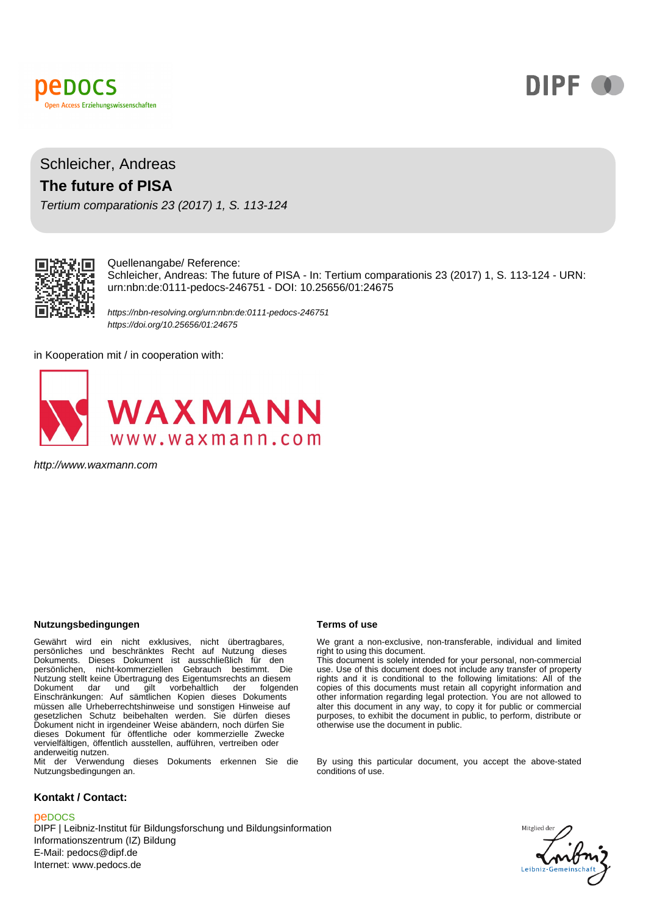



## Schleicher, Andreas **The future of PISA**

Tertium comparationis 23 (2017) 1, S. 113-124



#### Quellenangabe/ Reference:

Schleicher, Andreas: The future of PISA - In: Tertium comparationis 23 (2017) 1, S. 113-124 - URN: urn:nbn:de:0111-pedocs-246751 - DOI: 10.25656/01:24675

https://nbn-resolving.org/urn:nbn:de:0111-pedocs-246751 https://doi.org/10.25656/01:24675

in Kooperation mit / in cooperation with:



http://www.waxmann.com

#### **Nutzungsbedingungen Terms of use**

Gewährt wird ein nicht exklusives, nicht übertragbares,<br>persönliches und beschränktes Recht auf Nutzung dieses<br>Dokuments. Dieses Dokument ist ausschließlich für den<br>persönlichen, nicht-kommerziellen Gebrauch bestimmt. Die Nutzung stellt keine Übertragung des Eigentumsrechts an diesem Dokument dar und gilt vorbehaltlich der folgenden Einschränkungen: Auf sämtlichen Kopien dieses Dokuments müssen alle Urheberrechtshinweise und sonstigen Hinweise auf gesetzlichen Schutz beibehalten werden. Sie dürfen dieses Dokument nicht in irgendeiner Weise abändern, noch dürfen Sie dieses Dokument für öffentliche oder kommerzielle Zwecke vervielfältigen, öffentlich ausstellen, aufführen, vertreiben oder anderweitig nutzen. Mit der Verwendung dieses Dokuments erkennen Sie die

Nutzungsbedingungen an.

#### **Kontakt / Contact:**

#### peDOCS

DIPF | Leibniz-Institut für Bildungsforschung und Bildungsinformation Informationszentrum (IZ) Bildung E-Mail: pedocs@dipf.de Internet: www.pedocs.de

We grant a non-exclusive, non-transferable, individual and limited right to using this document.

This document is solely intended for your personal, non-commercial use. Use of this document does not include any transfer of property rights and it is conditional to the following limitations: All of the copies of this documents must retain all copyright information and other information regarding legal protection. You are not allowed to alter this document in any way, to copy it for public or commercial purposes, to exhibit the document in public, to perform, distribute or otherwise use the document in public.

By using this particular document, you accept the above-stated conditions of use.

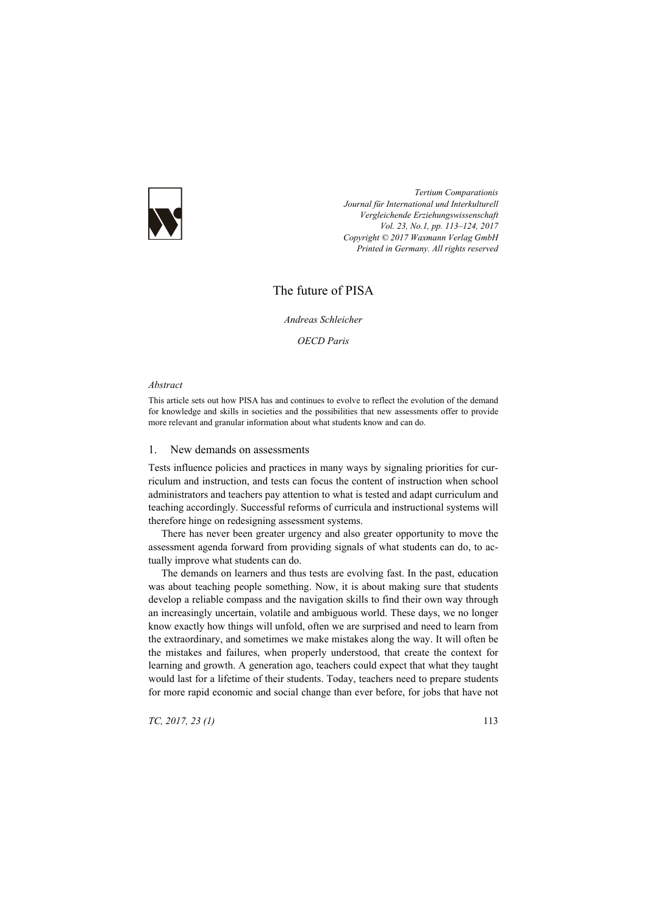

*Tertium Comparationis Journal für International und Interkulturell Vergleichende Erziehungswissenschaft Vol. 23, No.1, pp. 113–124, 2017 Copyright © 2017 Waxmann Verlag GmbH Printed in Germany. All rights reserved*

# The future of PISA

*Andreas Schleicher* 

*OECD Paris* 

#### *Abstract*

This article sets out how PISA has and continues to evolve to reflect the evolution of the demand for knowledge and skills in societies and the possibilities that new assessments offer to provide more relevant and granular information about what students know and can do.

### 1. New demands on assessments

Tests influence policies and practices in many ways by signaling priorities for curriculum and instruction, and tests can focus the content of instruction when school administrators and teachers pay attention to what is tested and adapt curriculum and teaching accordingly. Successful reforms of curricula and instructional systems will therefore hinge on redesigning assessment systems.

There has never been greater urgency and also greater opportunity to move the assessment agenda forward from providing signals of what students can do, to actually improve what students can do.

The demands on learners and thus tests are evolving fast. In the past, education was about teaching people something. Now, it is about making sure that students develop a reliable compass and the navigation skills to find their own way through an increasingly uncertain, volatile and ambiguous world. These days, we no longer know exactly how things will unfold, often we are surprised and need to learn from the extraordinary, and sometimes we make mistakes along the way. It will often be the mistakes and failures, when properly understood, that create the context for learning and growth. A generation ago, teachers could expect that what they taught would last for a lifetime of their students. Today, teachers need to prepare students for more rapid economic and social change than ever before, for jobs that have not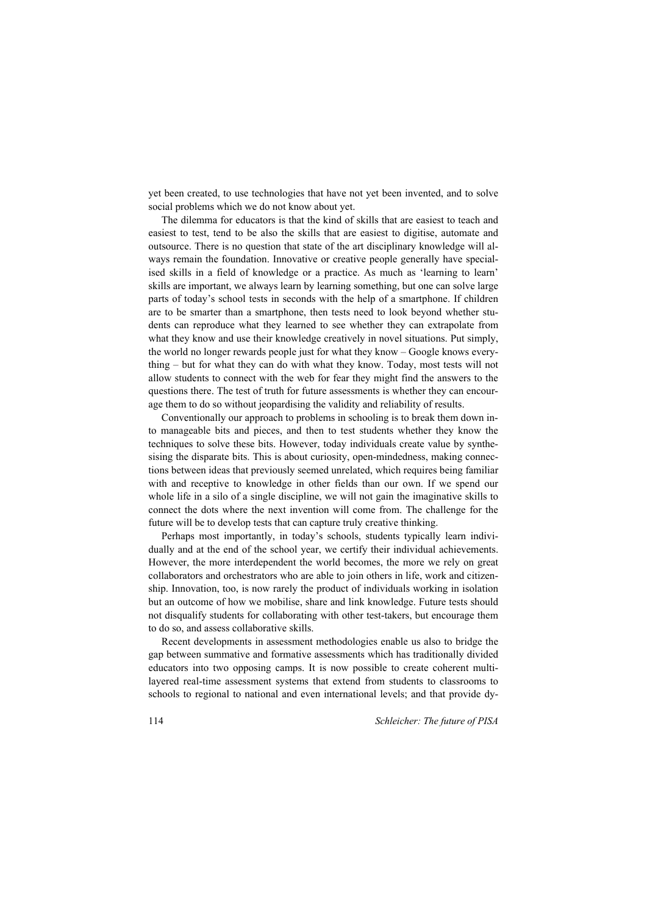yet been created, to use technologies that have not yet been invented, and to solve social problems which we do not know about yet.

The dilemma for educators is that the kind of skills that are easiest to teach and easiest to test, tend to be also the skills that are easiest to digitise, automate and outsource. There is no question that state of the art disciplinary knowledge will always remain the foundation. Innovative or creative people generally have specialised skills in a field of knowledge or a practice. As much as 'learning to learn' skills are important, we always learn by learning something, but one can solve large parts of today's school tests in seconds with the help of a smartphone. If children are to be smarter than a smartphone, then tests need to look beyond whether students can reproduce what they learned to see whether they can extrapolate from what they know and use their knowledge creatively in novel situations. Put simply, the world no longer rewards people just for what they know – Google knows everything – but for what they can do with what they know. Today, most tests will not allow students to connect with the web for fear they might find the answers to the questions there. The test of truth for future assessments is whether they can encourage them to do so without jeopardising the validity and reliability of results.

Conventionally our approach to problems in schooling is to break them down into manageable bits and pieces, and then to test students whether they know the techniques to solve these bits. However, today individuals create value by synthesising the disparate bits. This is about curiosity, open-mindedness, making connections between ideas that previously seemed unrelated, which requires being familiar with and receptive to knowledge in other fields than our own. If we spend our whole life in a silo of a single discipline, we will not gain the imaginative skills to connect the dots where the next invention will come from. The challenge for the future will be to develop tests that can capture truly creative thinking.

Perhaps most importantly, in today's schools, students typically learn individually and at the end of the school year, we certify their individual achievements. However, the more interdependent the world becomes, the more we rely on great collaborators and orchestrators who are able to join others in life, work and citizenship. Innovation, too, is now rarely the product of individuals working in isolation but an outcome of how we mobilise, share and link knowledge. Future tests should not disqualify students for collaborating with other test-takers, but encourage them to do so, and assess collaborative skills.

Recent developments in assessment methodologies enable us also to bridge the gap between summative and formative assessments which has traditionally divided educators into two opposing camps. It is now possible to create coherent multilayered real-time assessment systems that extend from students to classrooms to schools to regional to national and even international levels; and that provide dy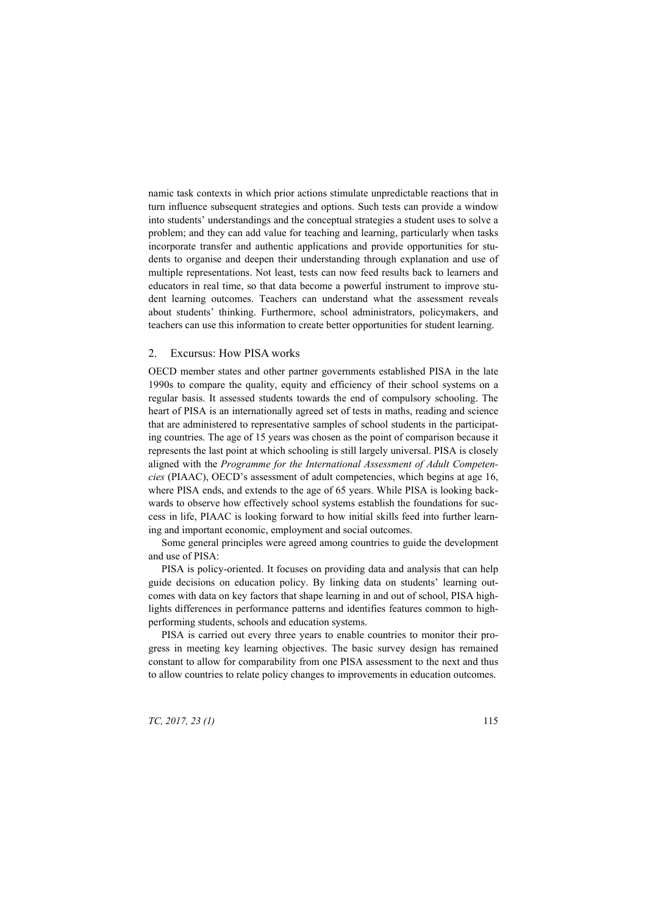namic task contexts in which prior actions stimulate unpredictable reactions that in turn influence subsequent strategies and options. Such tests can provide a window into students' understandings and the conceptual strategies a student uses to solve a problem; and they can add value for teaching and learning, particularly when tasks incorporate transfer and authentic applications and provide opportunities for students to organise and deepen their understanding through explanation and use of multiple representations. Not least, tests can now feed results back to learners and educators in real time, so that data become a powerful instrument to improve student learning outcomes. Teachers can understand what the assessment reveals about students' thinking. Furthermore, school administrators, policymakers, and teachers can use this information to create better opportunities for student learning.

### 2. Excursus: How PISA works

OECD member states and other partner governments established PISA in the late 1990s to compare the quality, equity and efficiency of their school systems on a regular basis. It assessed students towards the end of compulsory schooling. The heart of PISA is an internationally agreed set of tests in maths, reading and science that are administered to representative samples of school students in the participating countries. The age of 15 years was chosen as the point of comparison because it represents the last point at which schooling is still largely universal. PISA is closely aligned with the *Programme for the International Assessment of Adult Competencies* (PIAAC), OECD's assessment of adult competencies, which begins at age 16, where PISA ends, and extends to the age of 65 years. While PISA is looking backwards to observe how effectively school systems establish the foundations for success in life, PIAAC is looking forward to how initial skills feed into further learning and important economic, employment and social outcomes.

Some general principles were agreed among countries to guide the development and use of PISA:

PISA is policy-oriented. It focuses on providing data and analysis that can help guide decisions on education policy. By linking data on students' learning outcomes with data on key factors that shape learning in and out of school, PISA highlights differences in performance patterns and identifies features common to highperforming students, schools and education systems.

PISA is carried out every three years to enable countries to monitor their progress in meeting key learning objectives. The basic survey design has remained constant to allow for comparability from one PISA assessment to the next and thus to allow countries to relate policy changes to improvements in education outcomes.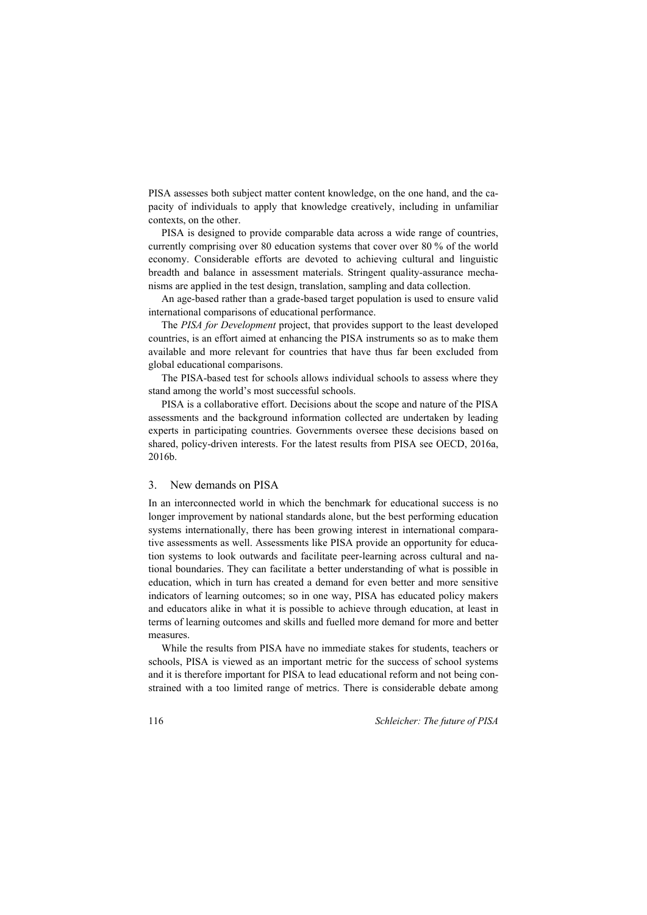PISA assesses both subject matter content knowledge, on the one hand, and the capacity of individuals to apply that knowledge creatively, including in unfamiliar contexts, on the other.

PISA is designed to provide comparable data across a wide range of countries, currently comprising over 80 education systems that cover over 80 % of the world economy. Considerable efforts are devoted to achieving cultural and linguistic breadth and balance in assessment materials. Stringent quality-assurance mechanisms are applied in the test design, translation, sampling and data collection.

An age-based rather than a grade-based target population is used to ensure valid international comparisons of educational performance.

The *PISA for Development* project, that provides support to the least developed countries, is an effort aimed at enhancing the PISA instruments so as to make them available and more relevant for countries that have thus far been excluded from global educational comparisons.

The PISA-based test for schools allows individual schools to assess where they stand among the world's most successful schools.

PISA is a collaborative effort. Decisions about the scope and nature of the PISA assessments and the background information collected are undertaken by leading experts in participating countries. Governments oversee these decisions based on shared, policy-driven interests. For the latest results from PISA see OECD, 2016a, 2016b.

### 3. New demands on PISA

In an interconnected world in which the benchmark for educational success is no longer improvement by national standards alone, but the best performing education systems internationally, there has been growing interest in international comparative assessments as well. Assessments like PISA provide an opportunity for education systems to look outwards and facilitate peer-learning across cultural and national boundaries. They can facilitate a better understanding of what is possible in education, which in turn has created a demand for even better and more sensitive indicators of learning outcomes; so in one way, PISA has educated policy makers and educators alike in what it is possible to achieve through education, at least in terms of learning outcomes and skills and fuelled more demand for more and better measures.

While the results from PISA have no immediate stakes for students, teachers or schools, PISA is viewed as an important metric for the success of school systems and it is therefore important for PISA to lead educational reform and not being constrained with a too limited range of metrics. There is considerable debate among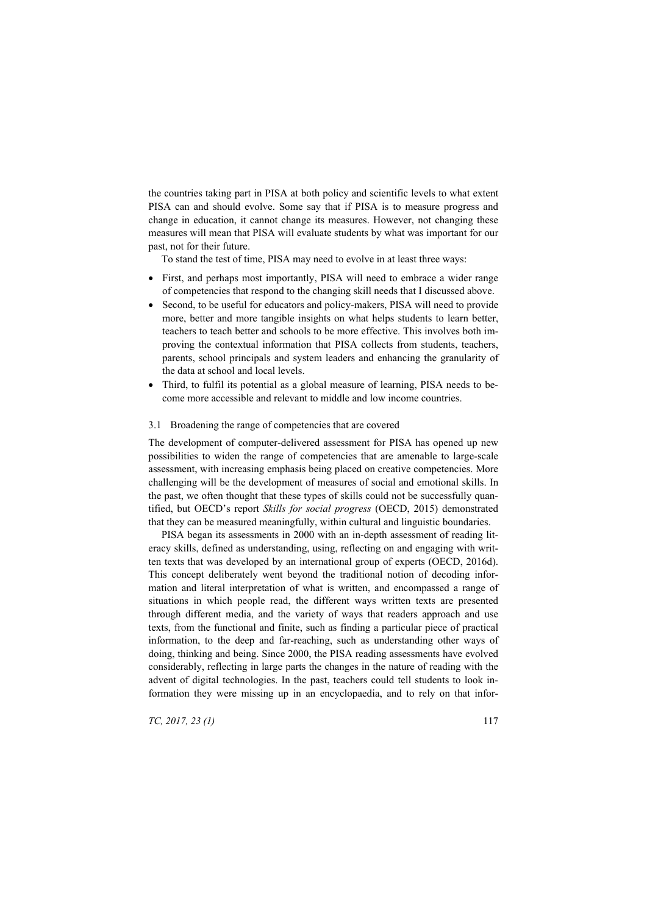the countries taking part in PISA at both policy and scientific levels to what extent PISA can and should evolve. Some say that if PISA is to measure progress and change in education, it cannot change its measures. However, not changing these measures will mean that PISA will evaluate students by what was important for our past, not for their future.

To stand the test of time, PISA may need to evolve in at least three ways:

- First, and perhaps most importantly, PISA will need to embrace a wider range of competencies that respond to the changing skill needs that I discussed above.
- Second, to be useful for educators and policy-makers, PISA will need to provide more, better and more tangible insights on what helps students to learn better, teachers to teach better and schools to be more effective. This involves both improving the contextual information that PISA collects from students, teachers, parents, school principals and system leaders and enhancing the granularity of the data at school and local levels.
- Third, to fulfil its potential as a global measure of learning. PISA needs to become more accessible and relevant to middle and low income countries.

## 3.1 Broadening the range of competencies that are covered

The development of computer-delivered assessment for PISA has opened up new possibilities to widen the range of competencies that are amenable to large-scale assessment, with increasing emphasis being placed on creative competencies. More challenging will be the development of measures of social and emotional skills. In the past, we often thought that these types of skills could not be successfully quantified, but OECD's report *Skills for social progress* (OECD, 2015) demonstrated that they can be measured meaningfully, within cultural and linguistic boundaries.

PISA began its assessments in 2000 with an in-depth assessment of reading literacy skills, defined as understanding, using, reflecting on and engaging with written texts that was developed by an international group of experts (OECD, 2016d). This concept deliberately went beyond the traditional notion of decoding information and literal interpretation of what is written, and encompassed a range of situations in which people read, the different ways written texts are presented through different media, and the variety of ways that readers approach and use texts, from the functional and finite, such as finding a particular piece of practical information, to the deep and far-reaching, such as understanding other ways of doing, thinking and being. Since 2000, the PISA reading assessments have evolved considerably, reflecting in large parts the changes in the nature of reading with the advent of digital technologies. In the past, teachers could tell students to look information they were missing up in an encyclopaedia, and to rely on that infor-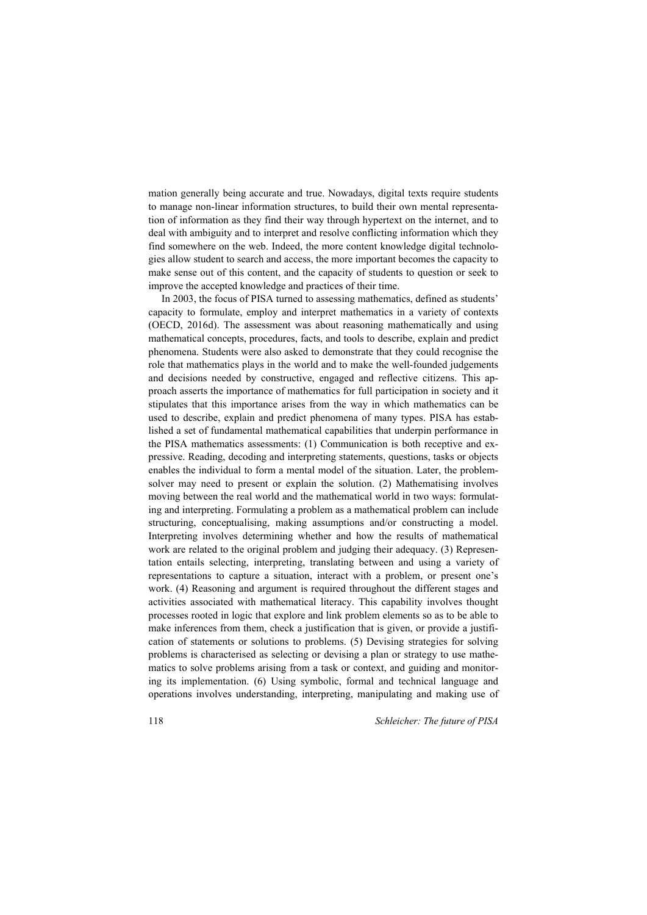mation generally being accurate and true. Nowadays, digital texts require students to manage non-linear information structures, to build their own mental representation of information as they find their way through hypertext on the internet, and to deal with ambiguity and to interpret and resolve conflicting information which they find somewhere on the web. Indeed, the more content knowledge digital technologies allow student to search and access, the more important becomes the capacity to make sense out of this content, and the capacity of students to question or seek to improve the accepted knowledge and practices of their time.

In 2003, the focus of PISA turned to assessing mathematics, defined as students' capacity to formulate, employ and interpret mathematics in a variety of contexts (OECD, 2016d). The assessment was about reasoning mathematically and using mathematical concepts, procedures, facts, and tools to describe, explain and predict phenomena. Students were also asked to demonstrate that they could recognise the role that mathematics plays in the world and to make the well-founded judgements and decisions needed by constructive, engaged and reflective citizens. This approach asserts the importance of mathematics for full participation in society and it stipulates that this importance arises from the way in which mathematics can be used to describe, explain and predict phenomena of many types. PISA has established a set of fundamental mathematical capabilities that underpin performance in the PISA mathematics assessments: (1) Communication is both receptive and expressive. Reading, decoding and interpreting statements, questions, tasks or objects enables the individual to form a mental model of the situation. Later, the problemsolver may need to present or explain the solution. (2) Mathematising involves moving between the real world and the mathematical world in two ways: formulating and interpreting. Formulating a problem as a mathematical problem can include structuring, conceptualising, making assumptions and/or constructing a model. Interpreting involves determining whether and how the results of mathematical work are related to the original problem and judging their adequacy. (3) Representation entails selecting, interpreting, translating between and using a variety of representations to capture a situation, interact with a problem, or present one's work. (4) Reasoning and argument is required throughout the different stages and activities associated with mathematical literacy. This capability involves thought processes rooted in logic that explore and link problem elements so as to be able to make inferences from them, check a justification that is given, or provide a justification of statements or solutions to problems. (5) Devising strategies for solving problems is characterised as selecting or devising a plan or strategy to use mathematics to solve problems arising from a task or context, and guiding and monitoring its implementation. (6) Using symbolic, formal and technical language and operations involves understanding, interpreting, manipulating and making use of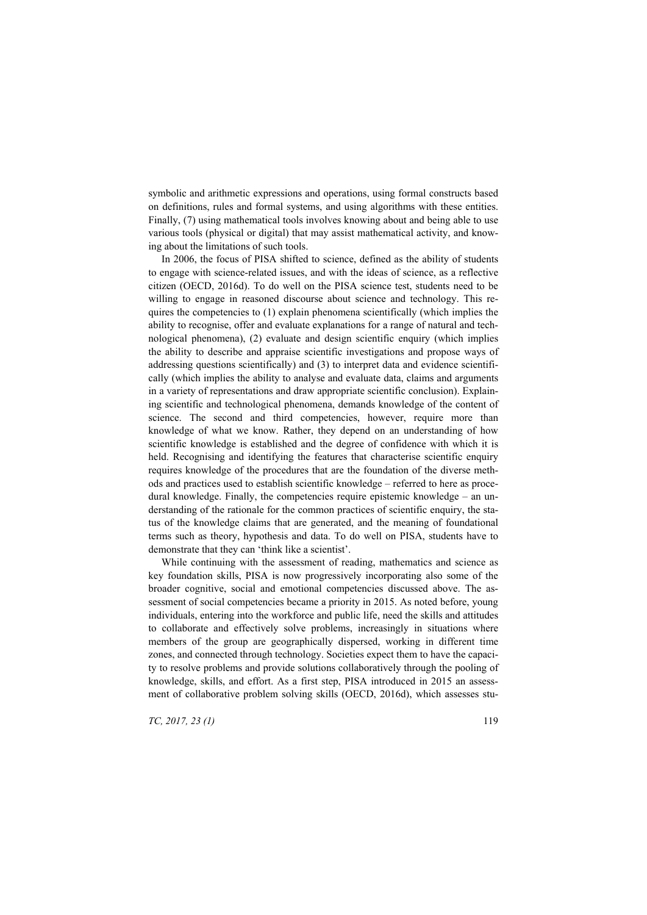symbolic and arithmetic expressions and operations, using formal constructs based on definitions, rules and formal systems, and using algorithms with these entities. Finally, (7) using mathematical tools involves knowing about and being able to use various tools (physical or digital) that may assist mathematical activity, and knowing about the limitations of such tools.

In 2006, the focus of PISA shifted to science, defined as the ability of students to engage with science-related issues, and with the ideas of science, as a reflective citizen (OECD, 2016d). To do well on the PISA science test, students need to be willing to engage in reasoned discourse about science and technology. This requires the competencies to  $(1)$  explain phenomena scientifically (which implies the ability to recognise, offer and evaluate explanations for a range of natural and technological phenomena), (2) evaluate and design scientific enquiry (which implies the ability to describe and appraise scientific investigations and propose ways of addressing questions scientifically) and (3) to interpret data and evidence scientifically (which implies the ability to analyse and evaluate data, claims and arguments in a variety of representations and draw appropriate scientific conclusion). Explaining scientific and technological phenomena, demands knowledge of the content of science. The second and third competencies, however, require more than knowledge of what we know. Rather, they depend on an understanding of how scientific knowledge is established and the degree of confidence with which it is held. Recognising and identifying the features that characterise scientific enquiry requires knowledge of the procedures that are the foundation of the diverse methods and practices used to establish scientific knowledge – referred to here as procedural knowledge. Finally, the competencies require epistemic knowledge – an understanding of the rationale for the common practices of scientific enquiry, the status of the knowledge claims that are generated, and the meaning of foundational terms such as theory, hypothesis and data. To do well on PISA, students have to demonstrate that they can 'think like a scientist'.

While continuing with the assessment of reading, mathematics and science as key foundation skills, PISA is now progressively incorporating also some of the broader cognitive, social and emotional competencies discussed above. The assessment of social competencies became a priority in 2015. As noted before, young individuals, entering into the workforce and public life, need the skills and attitudes to collaborate and effectively solve problems, increasingly in situations where members of the group are geographically dispersed, working in different time zones, and connected through technology. Societies expect them to have the capacity to resolve problems and provide solutions collaboratively through the pooling of knowledge, skills, and effort. As a first step, PISA introduced in 2015 an assessment of collaborative problem solving skills (OECD, 2016d), which assesses stu-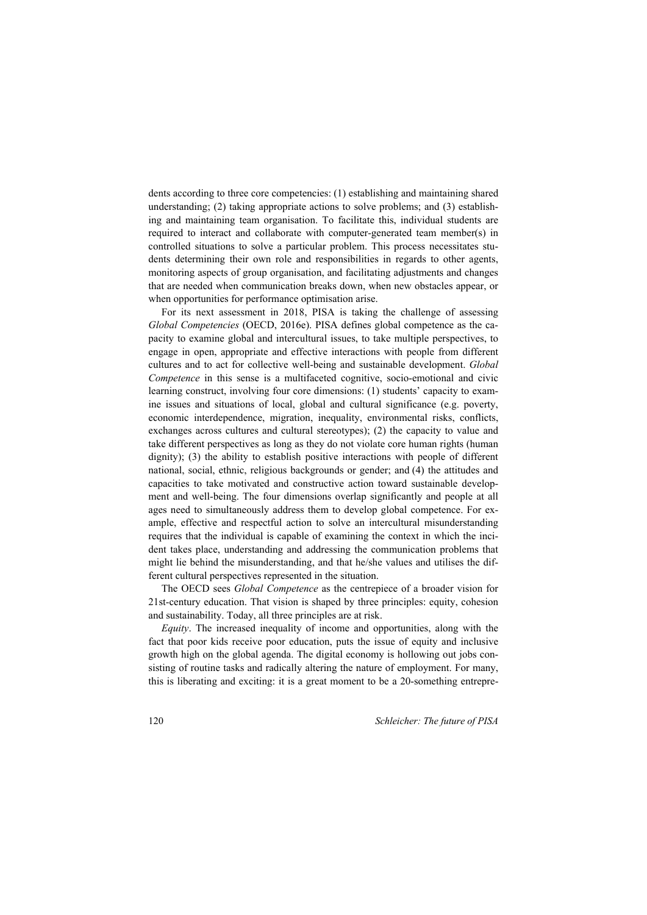dents according to three core competencies: (1) establishing and maintaining shared understanding; (2) taking appropriate actions to solve problems; and (3) establishing and maintaining team organisation. To facilitate this, individual students are required to interact and collaborate with computer-generated team member(s) in controlled situations to solve a particular problem. This process necessitates students determining their own role and responsibilities in regards to other agents, monitoring aspects of group organisation, and facilitating adjustments and changes that are needed when communication breaks down, when new obstacles appear, or when opportunities for performance optimisation arise.

For its next assessment in 2018, PISA is taking the challenge of assessing *Global Competencies* (OECD, 2016e). PISA defines global competence as the capacity to examine global and intercultural issues, to take multiple perspectives, to engage in open, appropriate and effective interactions with people from different cultures and to act for collective well-being and sustainable development. *Global Competence* in this sense is a multifaceted cognitive, socio-emotional and civic learning construct, involving four core dimensions: (1) students' capacity to examine issues and situations of local, global and cultural significance (e.g. poverty, economic interdependence, migration, inequality, environmental risks, conflicts, exchanges across cultures and cultural stereotypes); (2) the capacity to value and take different perspectives as long as they do not violate core human rights (human dignity); (3) the ability to establish positive interactions with people of different national, social, ethnic, religious backgrounds or gender; and (4) the attitudes and capacities to take motivated and constructive action toward sustainable development and well-being. The four dimensions overlap significantly and people at all ages need to simultaneously address them to develop global competence. For example, effective and respectful action to solve an intercultural misunderstanding requires that the individual is capable of examining the context in which the incident takes place, understanding and addressing the communication problems that might lie behind the misunderstanding, and that he/she values and utilises the different cultural perspectives represented in the situation.

The OECD sees *Global Competence* as the centrepiece of a broader vision for 21st-century education. That vision is shaped by three principles: equity, cohesion and sustainability. Today, all three principles are at risk.

*Equity*. The increased inequality of income and opportunities, along with the fact that poor kids receive poor education, puts the issue of equity and inclusive growth high on the global agenda. The digital economy is hollowing out jobs consisting of routine tasks and radically altering the nature of employment. For many, this is liberating and exciting: it is a great moment to be a 20-something entrepre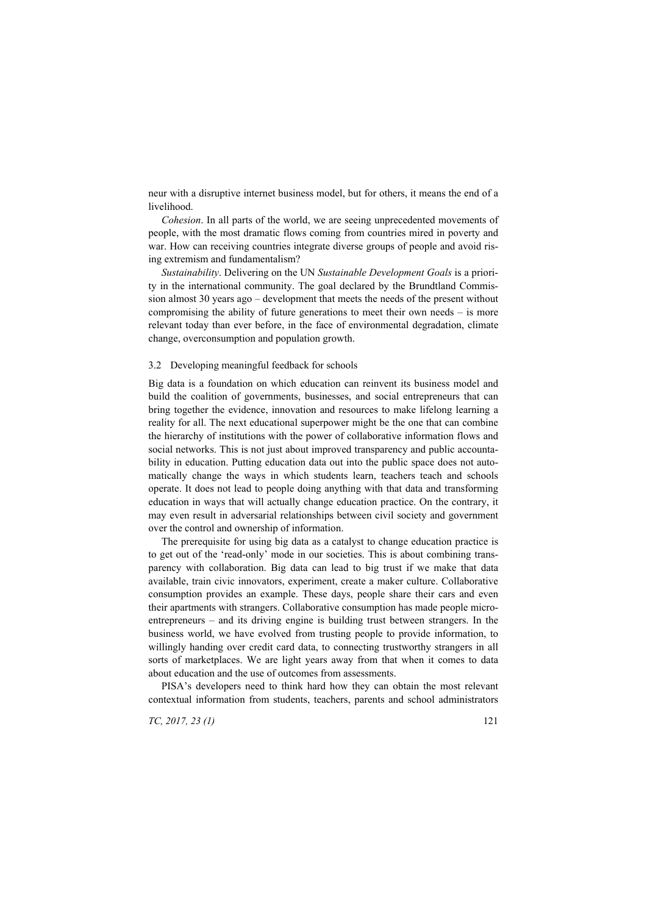neur with a disruptive internet business model, but for others, it means the end of a livelihood.

*Cohesion*. In all parts of the world, we are seeing unprecedented movements of people, with the most dramatic flows coming from countries mired in poverty and war. How can receiving countries integrate diverse groups of people and avoid rising extremism and fundamentalism?

*Sustainability*. Delivering on the UN *Sustainable Development Goals* is a priority in the international community. The goal declared by the Brundtland Commission almost 30 years ago – development that meets the needs of the present without compromising the ability of future generations to meet their own needs – is more relevant today than ever before, in the face of environmental degradation, climate change, overconsumption and population growth.

## 3.2 Developing meaningful feedback for schools

Big data is a foundation on which education can reinvent its business model and build the coalition of governments, businesses, and social entrepreneurs that can bring together the evidence, innovation and resources to make lifelong learning a reality for all. The next educational superpower might be the one that can combine the hierarchy of institutions with the power of collaborative information flows and social networks. This is not just about improved transparency and public accountability in education. Putting education data out into the public space does not automatically change the ways in which students learn, teachers teach and schools operate. It does not lead to people doing anything with that data and transforming education in ways that will actually change education practice. On the contrary, it may even result in adversarial relationships between civil society and government over the control and ownership of information.

The prerequisite for using big data as a catalyst to change education practice is to get out of the 'read-only' mode in our societies. This is about combining transparency with collaboration. Big data can lead to big trust if we make that data available, train civic innovators, experiment, create a maker culture. Collaborative consumption provides an example. These days, people share their cars and even their apartments with strangers. Collaborative consumption has made people microentrepreneurs – and its driving engine is building trust between strangers. In the business world, we have evolved from trusting people to provide information, to willingly handing over credit card data, to connecting trustworthy strangers in all sorts of marketplaces. We are light years away from that when it comes to data about education and the use of outcomes from assessments.

PISA's developers need to think hard how they can obtain the most relevant contextual information from students, teachers, parents and school administrators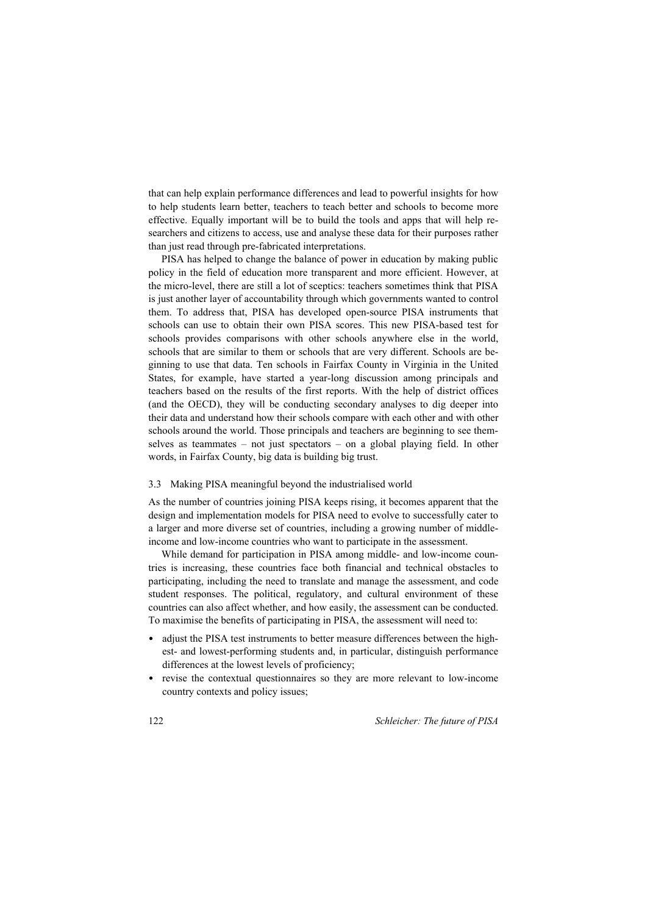that can help explain performance differences and lead to powerful insights for how to help students learn better, teachers to teach better and schools to become more effective. Equally important will be to build the tools and apps that will help researchers and citizens to access, use and analyse these data for their purposes rather than just read through pre-fabricated interpretations.

PISA has helped to change the balance of power in education by making public policy in the field of education more transparent and more efficient. However, at the micro-level, there are still a lot of sceptics: teachers sometimes think that PISA is just another layer of accountability through which governments wanted to control them. To address that, PISA has developed open-source PISA instruments that schools can use to obtain their own PISA scores. This new PISA-based test for schools provides comparisons with other schools anywhere else in the world, schools that are similar to them or schools that are very different. Schools are beginning to use that data. Ten schools in Fairfax County in Virginia in the United States, for example, have started a year-long discussion among principals and teachers based on the results of the first reports. With the help of district offices (and the OECD), they will be conducting secondary analyses to dig deeper into their data and understand how their schools compare with each other and with other schools around the world. Those principals and teachers are beginning to see themselves as teammates – not just spectators – on a global playing field. In other words, in Fairfax County, big data is building big trust.

## 3.3 Making PISA meaningful beyond the industrialised world

As the number of countries joining PISA keeps rising, it becomes apparent that the design and implementation models for PISA need to evolve to successfully cater to a larger and more diverse set of countries, including a growing number of middleincome and low-income countries who want to participate in the assessment.

While demand for participation in PISA among middle- and low-income countries is increasing, these countries face both financial and technical obstacles to participating, including the need to translate and manage the assessment, and code student responses. The political, regulatory, and cultural environment of these countries can also affect whether, and how easily, the assessment can be conducted. To maximise the benefits of participating in PISA, the assessment will need to:

- adjust the PISA test instruments to better measure differences between the highest- and lowest-performing students and, in particular, distinguish performance differences at the lowest levels of proficiency;
- revise the contextual questionnaires so they are more relevant to low-income country contexts and policy issues;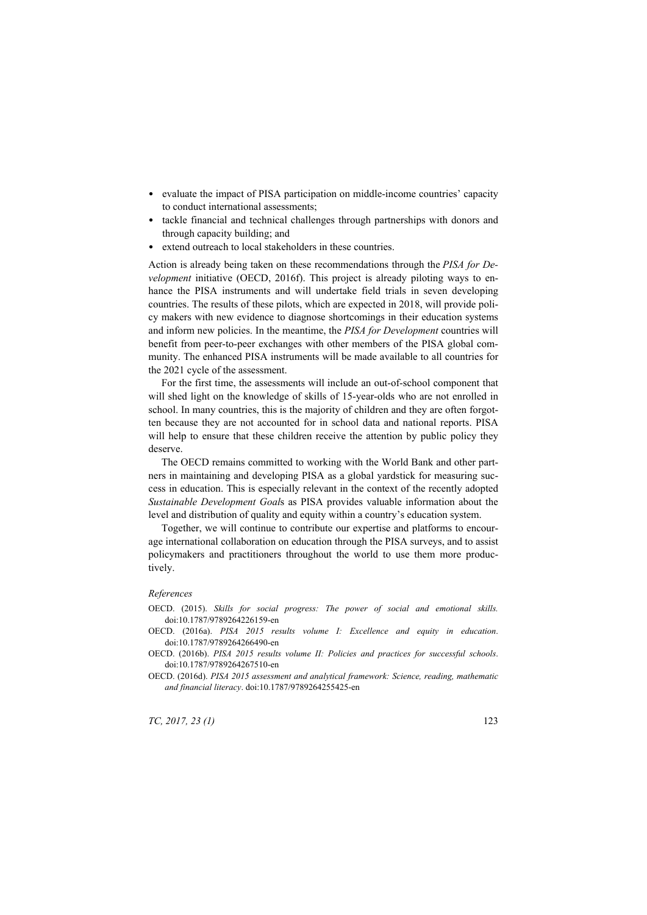- evaluate the impact of PISA participation on middle-income countries' capacity to conduct international assessments;
- tackle financial and technical challenges through partnerships with donors and through capacity building; and
- extend outreach to local stakeholders in these countries.

Action is already being taken on these recommendations through the *PISA for Development* initiative (OECD, 2016f). This project is already piloting ways to enhance the PISA instruments and will undertake field trials in seven developing countries. The results of these pilots, which are expected in 2018, will provide policy makers with new evidence to diagnose shortcomings in their education systems and inform new policies. In the meantime, the *PISA for Development* countries will benefit from peer-to-peer exchanges with other members of the PISA global community. The enhanced PISA instruments will be made available to all countries for the 2021 cycle of the assessment.

For the first time, the assessments will include an out-of-school component that will shed light on the knowledge of skills of 15-year-olds who are not enrolled in school. In many countries, this is the majority of children and they are often forgotten because they are not accounted for in school data and national reports. PISA will help to ensure that these children receive the attention by public policy they deserve.

The OECD remains committed to working with the World Bank and other partners in maintaining and developing PISA as a global yardstick for measuring success in education. This is especially relevant in the context of the recently adopted *Sustainable Development Goal*s as PISA provides valuable information about the level and distribution of quality and equity within a country's education system.

Together, we will continue to contribute our expertise and platforms to encourage international collaboration on education through the PISA surveys, and to assist policymakers and practitioners throughout the world to use them more productively.

#### *References*

- OECD. (2015). *Skills for social progress: The power of social and emotional skills.*  doi:10.1787/9789264226159-en
- OECD. (2016a). *PISA 2015 results volume I: Excellence and equity in education*. doi:10.1787/9789264266490-en
- OECD. (2016b). *PISA 2015 results volume II: Policies and practices for successful schools*. doi:10.1787/9789264267510-en
- OECD. (2016d). *PISA 2015 assessment and analytical framework: Science, reading, mathematic and financial literacy*. doi:10.1787/9789264255425-en